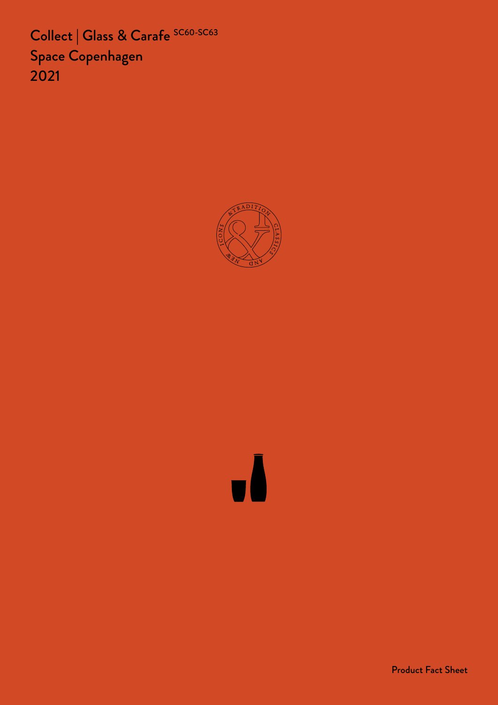Collect | Glass & Carafe SC60-SC63 Space Copenhagen 2021



Product Fact Sheet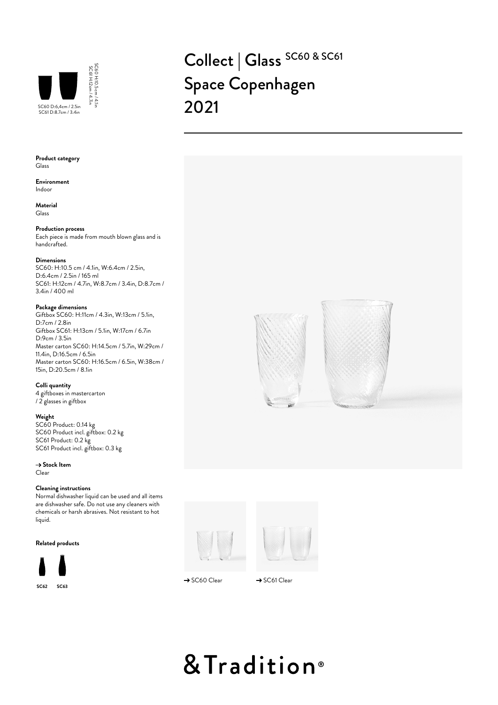

## Collect | Glass SC60 & SC61 Space Copenhagen



**Environment** Indoor

**Material** Glass

## **Production process**

Each piece is made from mouth blown glass and is handcrafted.

SC60 H:10.5 cm / 4.1in

## **Dimensions**

SC60: H:10.5 cm / 4.1in, W:6.4cm / 2.5in, D:6.4cm / 2.5in / 165 ml SC61: H:12cm / 4.7in, W:8.7cm / 3.4in, D:8.7cm / 3.4in / 400 ml

## **Package dimensions**

Giftbox SC60: H:11cm / 4.3in, W:13cm / 5.1in, D:7cm / 2.8in Giftbox SC61: H:13cm / 5.1in, W:17cm / 6.7in D:9cm / 3.5in Master carton SC60: H:14.5cm / 5.7in, W:29cm / 11.4in, D:16.5cm / 6.5in Master carton SC60: H:16.5cm / 6.5in, W:38cm / 15in, D:20.5cm / 8.1in

## **Colli quantity**

4 giftboxes in mastercarton / 2 glasses in giftbox

## **Weight**

SC60 Product: 0.14 kg SC60 Product incl. giftbox: 0.2 kg SC61 Product: 0.2 kg SC61 Product incl. giftbox: 0.3 kg

→ Stock Item

Clear

## **Cleaning instructions**

Normal dishwasher liquid can be used and all items are dishwasher safe. Do not use any cleaners with chemicals or harsh abrasives. Not resistant to hot liquid.

**Related products**







 $\rightarrow$  SC60 Clear  $\rightarrow$  SC61 Clear